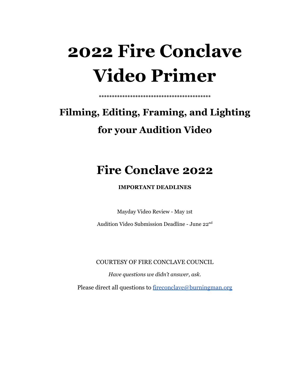# **2022 Fire Conclave Video Primer**

# **Filming, Editing, Framing, and Lighting for your Audition Video**

**\*\*\*\*\*\*\*\*\*\*\*\*\*\*\*\*\*\*\*\*\*\*\*\*\*\*\*\*\*\*\*\*\*\*\*\*\*\*\*\*\*\*\***

# **Fire Conclave 2022**

**IMPORTANT DEADLINES**

Mayday Video Review - May 1st

Audition Video Submission Deadline - June 22<sup>nd</sup>

COURTESY OF FIRE CONCLAVE COUNCIL

*Have questions we didn't answer, ask.*

Please direct all questions to [fireconclave@burningman.org](mailto:fireconclave@burningman.org)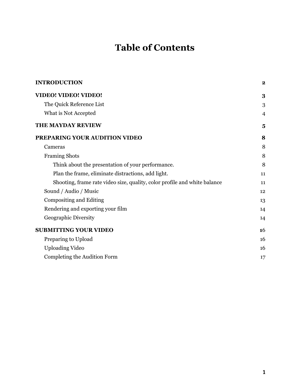# **Table of Contents**

| <b>INTRODUCTION</b>                                                       | $\bf{2}$ |
|---------------------------------------------------------------------------|----------|
| <b>VIDEO! VIDEO! VIDEO!</b>                                               | 3        |
| The Quick Reference List                                                  | 3        |
| What is Not Accepted                                                      | 4        |
| <b>THE MAYDAY REVIEW</b>                                                  | 5        |
| PREPARING YOUR AUDITION VIDEO                                             | 8        |
| Cameras                                                                   | 8        |
| <b>Framing Shots</b>                                                      | 8        |
| Think about the presentation of your performance.                         | 8        |
| Plan the frame, eliminate distractions, add light.                        | 11       |
| Shooting, frame rate video size, quality, color profile and white balance | 11       |
| Sound / Audio / Music                                                     | 12       |
| Compositing and Editing                                                   | 13       |
| Rendering and exporting your film                                         | 14       |
| Geographic Diversity                                                      | 14       |
| <b>SUBMITTING YOUR VIDEO</b>                                              | 16       |
| Preparing to Upload                                                       | 16       |
| <b>Uploading Video</b>                                                    | 16       |
| Completing the Audition Form                                              | 17       |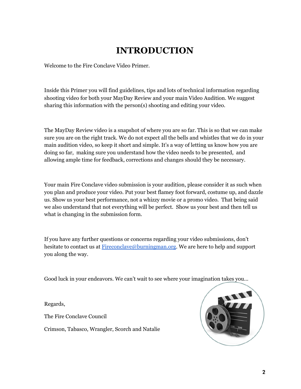# **INTRODUCTION**

<span id="page-2-0"></span>Welcome to the Fire Conclave Video Primer.

Inside this Primer you will find guidelines, tips and lots of technical information regarding shooting video for both your MayDay Review and your main Video Audition. We suggest sharing this information with the person(s) shooting and editing your video.

The MayDay Review video is a snapshot of where you are so far. This is so that we can make sure you are on the right track. We do not expect all the bells and whistles that we do in your main audition video, so keep it short and simple. It's a way of letting us know how you are doing so far, making sure you understand how the video needs to be presented, and allowing ample time for feedback, corrections and changes should they be necessary.

Your main Fire Conclave video submission is your audition, please consider it as such when you plan and produce your video. Put your best flamey foot forward, costume up, and dazzle us. Show us your best performance, not a whizzy movie or a promo video. That being said we also understand that not everything will be perfect. Show us your best and then tell us what is changing in the submission form.

If you have any further questions or concerns regarding your video submissions, don't hesitate to contact us at [Fireconclave@burningman.org](mailto:Fireconclave@burningman.org). We are here to help and support you along the way.

Good luck in your endeavors. We can't wait to see where your imagination takes you…

Regards,

The Fire Conclave Council

Crimson, Tabasco, Wrangler, Scorch and Natalie

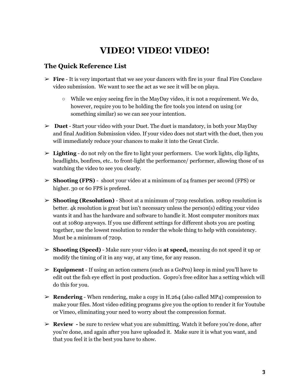# **VIDEO! VIDEO! VIDEO!**

### <span id="page-3-1"></span><span id="page-3-0"></span>**The Quick Reference List**

- $\triangleright$  **Fire** It is very important that we see your dancers with fire in your final Fire Conclave video submission. We want to see the act as we see it will be on playa.
	- While we enjoy seeing fire in the MayDay video, it is not a requirement. We do, however, require you to be holding the fire tools you intend on using (or something similar) so we can see your intention.
- ➢ **Duet** Start your video with your Duet. The duet is mandatory, in both your MayDay and final Audition Submission video. If your video does not start with the duet, then you will immediately reduce your chances to make it into the Great Circle.
- $\triangleright$  **Lighting** do not rely on the fire to light your performers. Use work lights, clip lights, headlights, bonfires, etc.. to front-light the performance/ performer, allowing those of us watching the video to see you clearly.
- ➢ **Shooting (FPS)** shoot your video at a minimum of 24 frames per second (FPS) or higher. 30 or 60 FPS is prefered.
- ➢ **Shooting (Resolution)** Shoot at a minimum of 720p resolution. 1080p resolution is better. 4k resolution is great but isn't necessary unless the person(s) editing your video wants it and has the hardware and software to handle it. Most computer monitors max out at 1080p anyways. If you use different settings for different shots you are posting together, use the lowest resolution to render the whole thing to help with consistency. Must be a minimum of 720p.
- ➢ **Shooting (Speed)** Make sure your video is **at speed,** meaning do not speed it up or modify the timing of it in any way, at any time, for any reason.
- ➢ **Equipment** If using an action camera (such as a GoPro) keep in mind you'll have to edit out the fish eye effect in post production. Gopro's free editor has a setting which will do this for you.
- ➢ **Rendering** When rendering, make a copy in H.264 (also called MP4) compression to make your files. Most video editing programs give you the option to render it for Youtube or Vimeo, eliminating your need to worry about the compression format.
- ➢ **Review -** be sure to review what you are submitting. Watch it before you're done, after you're done, and again after you have uploaded it. Make sure it is what you want, and that you feel it is the best you have to show.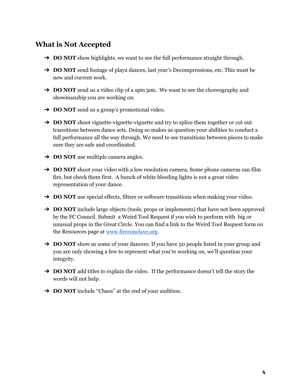# **What is Not Accepted**

- ➔ **DO NOT** show highlights, we want to see the full performance straight through.
- ➔ **DO NOT** send footage of playa dances, last year's Decompressions, etc. This must be new and current work.
- ➔ **DO NOT** send us a video clip of a spin jam. We want to see the choreography and showmanship you are working on.
- ➔ **DO NOT** send us a group's promotional video.
- ➔ **DO NOT** shoot vignette-vignette-vignette and try to splice them together or cut out transitions between dance sets. Doing so makes us question your abilities to conduct a full performance all the way through. We need to see transitions between pieces to make sure they are safe and coordinated.
- ➔ **DO NOT** use multiple camera angles.
- **→ DO NOT** shoot your video with a low resolution camera. Some phone cameras can film fire, but check them first. A bunch of white bleeding lights is not a great video representation of your dance.
- → **DO NOT** use special effects, filters or software transitions when making your video.
- ➔ **DO NOT** include large objects (tools, props or implements) that have not been approved by the FC Council. Submit a Weird Tool Request if you wish to perform with big or unusual props in the Great Circle. You can find a link to the Weird Tool Request form on the Resources page at [www.fireconclave.org](http://www.fireconclave.org).
- → **DO NOT** show us some of your dancers. If you have 50 people listed in your group and you are only showing a few to represent what you're working on, we'll question your integrity.
- → **DO NOT** add titles to explain the video. If the performance doesn't tell the story the words will not help.
- ➔ **DO NOT** include "Chaos" at the end of your audition.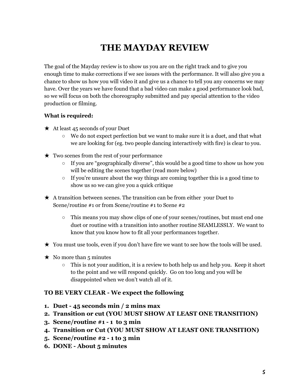# **THE MAYDAY REVIEW**

<span id="page-5-0"></span>The goal of the Mayday review is to show us you are on the right track and to give you enough time to make corrections if we see issues with the performance. It will also give you a chance to show us how you will video it and give us a chance to tell you any concerns we may have. Over the years we have found that a bad video can make a good performance look bad, so we will focus on both the choreography submitted and pay special attention to the video production or filming.

#### **What is required:**

- $\star$  At least 45 seconds of your Duet
	- We do not expect perfection but we want to make sure it is a duet, and that what we are looking for (eg. two people dancing interactively with fire) is clear to you.
- $\star$  Two scenes from the rest of your performance
	- $\circ$  If you are "geographically diverse", this would be a good time to show us how you will be editing the scenes together (read more below)
	- $\circ$  If you're unsure about the way things are coming together this is a good time to show us so we can give you a quick critique
- ★ A transition between scenes. The transition can be from either your Duet to Scene/routine #1 or from Scene/routine #1 to Scene #2
	- This means you may show clips of one of your scenes/routines, but must end one duet or routine with a transition into another routine SEAMLESSLY. We want to know that you know how to fit all your performances together.
- ★ You must use tools, even if you don't have fire we want to see how the tools will be used.
- $\star$  No more than 5 minutes
	- This is not your audition, it is a review to both help us and help you. Keep it short to the point and we will respond quickly. Go on too long and you will be disappointed when we don't watch all of it.

#### **TO BE VERY CLEAR - We expect the following**

- **1. Duet 45 seconds min / 2 mins max**
- **2. Transition or cut (YOU MUST SHOW AT LEAST ONE TRANSITION)**
- **3. Scene/routine #1 1 to 3 min**
- **4. Transition or Cut (YOU MUST SHOW AT LEAST ONE TRANSITION)**
- **5. Scene/routine #2 1 to 3 min**
- **6. DONE About 5 minutes**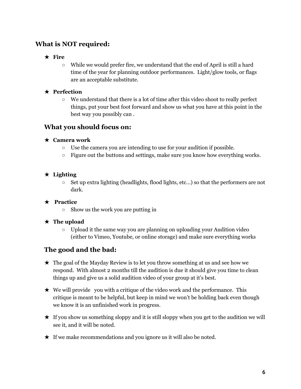### **What is NOT required:**

#### ★ **Fire**

○ While we would prefer fire, we understand that the end of April is still a hard time of the year for planning outdoor performances. Light/glow tools, or flags are an acceptable substitute.

#### ★ **Perfection**

 $\circ$  We understand that there is a lot of time after this video shoot to really perfect things, put your best foot forward and show us what you have at this point in the best way you possibly can .

#### **What you should focus on:**

#### ★ **Camera work**

- $\circ$  Use the camera you are intending to use for your audition if possible.
- $\circ$  Figure out the buttons and settings, make sure you know how everything works.

#### ★ **Lighting**

 $\circ$  Set up extra lighting (headlights, flood lights, etc...) so that the performers are not dark.

#### ★ **Practice**

○ Show us the work you are putting in

#### ★ **The upload**

○ Upload it the same way you are planning on uploading your Audition video (either to Vimeo, Youtube, or online storage) and make sure everything works

### **The good and the bad:**

- ★ The goal of the Mayday Review is to let you throw something at us and see how we respond. With almost 2 months till the audition is due it should give you time to clean things up and give us a solid audition video of your group at it's best.
- $\star$  We will provide you with a critique of the video work and the performance. This critique is meant to be helpful, but keep in mind we won't be holding back even though we know it is an unfinished work in progress.
- $\star$  If you show us something sloppy and it is still sloppy when you get to the audition we will see it, and it will be noted.
- $\star$  If we make recommendations and you ignore us it will also be noted.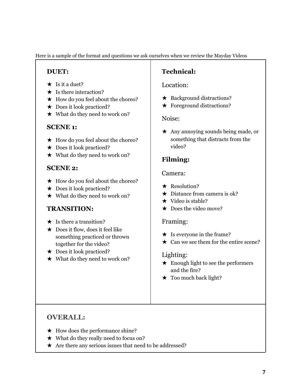Here is a sample of the format and questions we ask ourselves when we review the Mayday Videos

# **DUET:**

- $\star$  Is it a duet?
- $\star$  Is there interaction?
- $\star$  How do you feel about the choreo?
- $\star$  Does it look practiced?
- ★ What do they need to work on?

# **SCENE 1:**

- ★ How do you feel about the choreo?
- $\star$  Does it look practiced?
- ★ What do they need to work on?

# **SCENE 2:**

- ★ How do you feel about the choreo?
- $\star$  Does it look practiced?
- ★ What do they need to work on?

# **TRANSITION:**

- $\star$  Is there a transition?
- ★ Does it flow, does it feel like something practiced or thrown together for the video?
- $\star$  Does it look practiced?
- ★ What do they need to work on?

# **Technical:**

### Location:

- $\star$  Background distractions?
- $\star$  Foreground distractions?

### Noise:

★ Any annoying sounds being made, or something that distracts from the video?

# **Filming:**

### Camera:

- ★ Resolution?
- $\star$  Distance from camera is ok?
- $\star$  Video is stable?
- $\star$  Does the video move?

### Framing:

- $\star$  Is everyone in the frame?
- $\star$  Can we see them for the entire scene?

# Lighting:

- ★ Enough light to see the performers and the fire?
- $\star$  Too much back light?

# **OVERALL:**

- $\star$  How does the performance shine?
- $\star$  What do they really need to focus on?
- ★ Are there any serious issues that need to be addressed?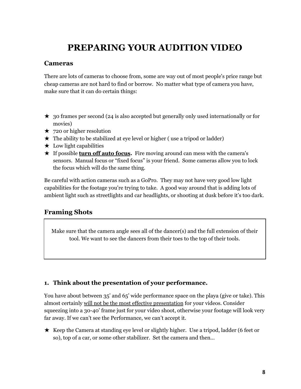# **PREPARING YOUR AUDITION VIDEO**

#### <span id="page-8-1"></span><span id="page-8-0"></span>**Cameras**

There are lots of cameras to choose from, some are way out of most people's price range but cheap cameras are not hard to find or borrow. No matter what type of camera you have, make sure that it can do certain things:

- ★ 30 frames per second (24 is also accepted but generally only used internationally or for movies)
- $\star$  720 or higher resolution
- $\star$  The ability to be stabilized at eye level or higher (use a tripod or ladder)
- $\star$  Low light capabilities
- ★ If possible **turn off auto focus.** Fire moving around can mess with the camera's sensors. Manual focus or "fixed focus" is your friend. Some cameras allow you to lock the focus which will do the same thing.

Be careful with action cameras such as a GoPro. They may not have very good low light capabilities for the footage you're trying to take. A good way around that is adding lots of ambient light such as streetlights and car headlights, or shooting at dusk before it's too dark.

### <span id="page-8-2"></span>**Framing Shots**

Make sure that the camera angle sees all of the dancer(s) and the full extension of their tool. We want to see the dancers from their toes to the top of their tools.

#### **1. Think about the presentation of your performance.**

You have about between 35' and 65' wide performance space on the playa (give or take). This almost certainly will not be the most effective presentation for your videos. Consider squeezing into a 30-40' frame just for your video shoot, otherwise your footage will look very far away. If we can't see the Performance, we can't accept it.

★ Keep the Camera at standing eye level or slightly higher. Use a tripod, ladder (6 feet or so), top of a car, or some other stabilizer. Set the camera and then…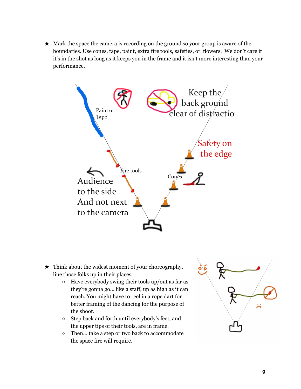$\star$  Mark the space the camera is recording on the ground so your group is aware of the boundaries. Use cones, tape, paint, extra fire tools, safeties, or flowers. We don't care if it's in the shot as long as it keeps you in the frame and it isn't more interesting than your performance.



- $\star$  Think about the widest moment of your choreography, line those folks up in their places.
	- $\circ$  Have everybody swing their tools up/out as far as they're gonna go... like a staff, up as high as it can reach. You might have to reel in a rope dart for better framing of the dancing for the purpose of the shoot.
	- Step back and forth until everybody's feet, and the upper tips of their tools, are in frame.
	- Then... take a step or two back to accommodate the space fire will require.

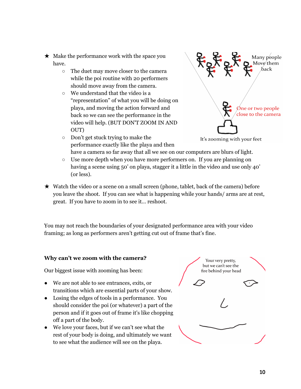- $\star$  Make the performance work with the space you have.
	- The duet may move closer to the camera while the poi routine with 20 performers should move away from the camera.
	- We understand that the video is a "representation" of what you will be doing on playa, and moving the action forward and back so we can see the performance in the video will help. (BUT DON'T ZOOM IN AND OUT)



- Don't get stuck trying to make the It's zooming with your feet performance exactly like the playa and then have a camera so far away that all we see on our computers are blurs of light.
- Use more depth when you have more performers on. If you are planning on having a scene using 50' on playa, stagger it a little in the video and use only 40' (or less).
- ★ Watch the video or a scene on a small screen (phone, tablet, back of the camera) before you leave the shoot. If you can see what is happening while your hands/ arms are at rest, great. If you have to zoom in to see it… reshoot.

You may not reach the boundaries of your designated performance area with your video framing; as long as performers aren't getting cut out of frame that's fine.

#### **Why can't we zoom with the camera?**

Our biggest issue with zooming has been:

- We are not able to see entrances, exits, or transitions which are essential parts of your show.
- Losing the edges of tools in a performance. You should consider the poi (or whatever) a part of the person and if it goes out of frame it's like chopping off a part of the body.
- We love your faces, but if we can't see what the rest of your body is doing, and ultimately we want to see what the audience will see on the playa.

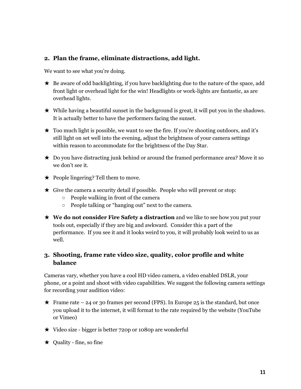#### <span id="page-11-0"></span>**2. Plan the frame, eliminate distractions, add light.**

We want to see what you're doing.

- ★ Be aware of odd backlighting, if you have backlighting due to the nature of the space, add front light or overhead light for the win! Headlights or work-lights are fantastic, as are overhead lights.
- $\star$  While having a beautiful sunset in the background is great, it will put you in the shadows. It is actually better to have the performers facing the sunset.
- $\star$  Too much light is possible, we want to see the fire. If you're shooting outdoors, and it's still light on set well into the evening, adjust the brightness of your camera settings within reason to accommodate for the brightness of the Day Star.
- $\star$  Do you have distracting junk behind or around the framed performance area? Move it so we don't see it.
- $\star$  People lingering? Tell them to move.
- $\star$  Give the camera a security detail if possible. People who will prevent or stop:
	- People walking in front of the camera
	- People talking or "hanging out" next to the camera.
- ★ **We do not consider Fire Safety a distraction** and we like to see how you put your tools out, especially if they are big and awkward. Consider this a part of the performance. If you see it and it looks weird to you, it will probably look weird to us as well.

#### <span id="page-11-1"></span>**3. Shooting, frame rate video size, quality, color profile and white balance**

Cameras vary, whether you have a cool HD video camera, a video enabled DSLR, your phone, or a point and shoot with video capabilities. We suggest the following camera settings for recording your audition video:

- $\star$  Frame rate 24 or 30 frames per second (FPS). In Europe 25 is the standard, but once you upload it to the internet, it will format to the rate required by the website (YouTube or Vimeo)
- ★ Video size bigger is better 720p or 1080p are wonderful
- $\star$  Quality fine, so fine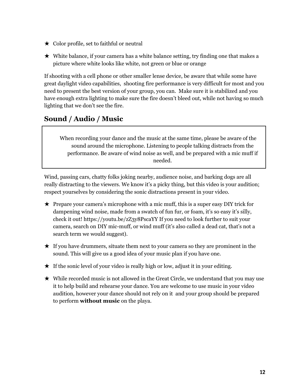- ★ Color profile, set to faithful or neutral
- $\star$  White balance, if your camera has a white balance setting, try finding one that makes a picture where white looks like white, not green or blue or orange

If shooting with a cell phone or other smaller lense device, be aware that while some have great daylight video capabilities, shooting fire performance is very difficult for most and you need to present the best version of your group, you can. Make sure it is stabilized and you have enough extra lighting to make sure the fire doesn't bleed out, while not having so much lighting that we don't see the fire.

# <span id="page-12-0"></span>**Sound / Audio / Music**

When recording your dance and the music at the same time, please be aware of the sound around the microphone. Listening to people talking distracts from the performance. Be aware of wind noise as well, and be prepared with a mic muff if needed.

Wind, passing cars, chatty folks joking nearby, audience noise, and barking dogs are all really distracting to the viewers. We know it's a picky thing, but this video is your audition; respect yourselves by considering the sonic distractions present in your video.

- $\star$  Prepare your camera's microphone with a mic muff, this is a super easy DIY trick for dampening wind noise, made from a swatch of fun fur, or foam, it's so easy it's silly, check it out! https://youtu.be/zZ3y8PscaYY If you need to look further to suit your camera, search on DIY mic-muff, or wind muff (it's also called a dead cat, that's not a search term we would suggest).
- $\star$  If you have drummers, situate them next to your camera so they are prominent in the sound. This will give us a good idea of your music plan if you have one.
- $\star$  If the sonic level of your video is really high or low, adjust it in your editing.
- ★ While recorded music is not allowed in the Great Circle, we understand that you may use it to help build and rehearse your dance. You are welcome to use music in your video audition, however your dance should not rely on it and your group should be prepared to perform **without music** on the playa.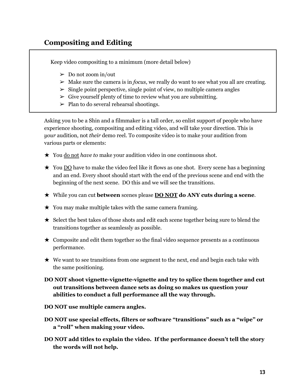# **Compositing and Editing**

Keep video compositing to a minimum (more detail below)

- $\geq 0$  Do not zoom in/out
- $\triangleright$  Make sure the camera is in *focus*, we really do want to see what you all are creating.
- $\geq$  Single point perspective, single point of view, no multiple camera angles
- $\triangleright$  Give yourself plenty of time to review what you are submitting.
- $\triangleright$  Plan to do several rehearsal shootings.

Asking you to be a Shin and a filmmaker is a tall order, so enlist support of people who have experience shooting, compositing and editing video, and will take your direction. This is *your* audition, not *their* demo reel. To composite video is to make your audition from various parts or elements:

- ★ You do not *have to* make your audition video in one continuous shot.
- $\star$  You <u>DO</u> have to make the video feel like it flows as one shot. Every scene has a beginning and an end. Every shoot should start with the end of the previous scene and end with the beginning of the next scene. DO this and we will see the transitions.
- ★ While you can cut **between** scenes please **DO NOT do ANY cuts during a scene**.
- $\star$  You may make multiple takes with the same camera framing.
- ★ Select the best takes of those shots and edit each scene together being sure to blend the transitions together as seamlessly as possible.
- $\star$  Composite and edit them together so the final video sequence presents as a continuous performance.
- $\star$  We want to see transitions from one segment to the next, end and begin each take with the same positioning.
- **DO NOT shoot vignette-vignette-vignette and try to splice them together and cut out transitions between dance sets as doing so makes us question your abilities to conduct a full performance all the way through.**
- **DO NOT use multiple camera angles.**
- **DO NOT use special effects, filters or software "transitions" such as a "wipe" or a "roll" when making your video.**
- **DO NOT add titles to explain the video. If the performance doesn't tell the story the words will not help.**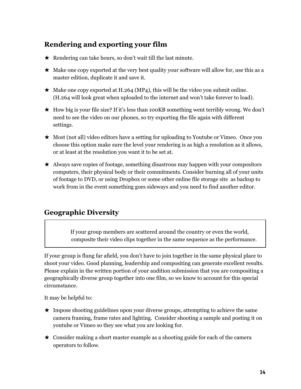# <span id="page-14-0"></span>**Rendering and exporting your film**

- $\star$  Rendering can take hours, so don't wait till the last minute.
- $\star$  Make one copy exported at the very best quality your software will allow for, use this as a master edition, duplicate it and save it.
- $\star$  Make one copy exported at H.264 (MP4), this will be the video you submit online. (H.264 will look great when uploaded to the internet and won't take forever to load).
- $\star$  How big is your file size? If it's less than 100KB something went terribly wrong. We don't need to see the video on our phones, so try exporting the file again with different settings.
- ★ Most (not all) video editors have a setting for uploading to Youtube or Vimeo. Once you choose this option make sure the level your rendering is as high a resolution as it allows, or at least at the resolution you want it to be set at.
- ★ Always save copies of footage, something disastrous may happen with your compositors computers, their physical body or their commitments. Consider burning all of your units of footage to DVD, or using Dropbox or some other online file storage site as backup to work from in the event something goes sideways and you need to find another editor.

# <span id="page-14-1"></span>**Geographic Diversity**

If your group members are scattered around the country or even the world, composite their video clips together in the same sequence as the performance.

If your group is flung far afield, you don't have to join together in the same physical place to shoot your video. Good planning, leadership and compositing can generate excellent results. Please explain in the written portion of your audition submission that you are compositing a geographically diverse group together into one film, so we know to account for this special circumstance.

It may be helpful to:

- ★ Impose shooting guidelines upon your diverse groups, attempting to achieve the same camera framing, frame rates and lighting. Consider shooting a sample and posting it on youtube or Vimeo so they see what you are looking for.
- $\star$  Consider making a short master example as a shooting guide for each of the camera operators to follow.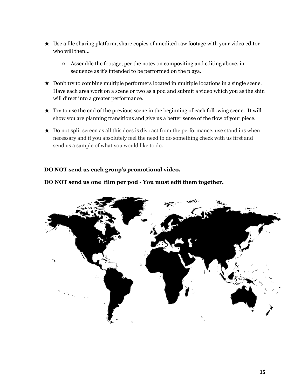- $\star$  Use a file sharing platform, share copies of unedited raw footage with your video editor who will then…
	- Assemble the footage, per the notes on compositing and editing above, in sequence as it's intended to be performed on the playa.
- ★ Don't try to combine multiple performers located in multiple locations in a single scene. Have each area work on a scene or two as a pod and submit a video which you as the shin will direct into a greater performance.
- ★ Try to use the end of the previous scene in the beginning of each following scene. It will show you are planning transitions and give us a better sense of the flow of your piece.
- $\star$  Do not split screen as all this does is distract from the performance, use stand ins when necessary and if you absolutely feel the need to do something check with us first and send us a sample of what you would like to do.

#### **DO NOT send us each group's promotional video.**



#### **DO NOT send us one film per pod - You must edit them together.**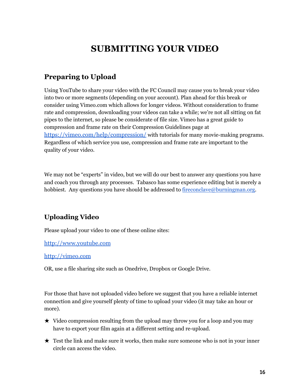# **SUBMITTING YOUR VIDEO**

# <span id="page-16-1"></span><span id="page-16-0"></span>**Preparing to Upload**

Using YouTube to share your video with the FC Council may cause you to break your video into two or more segments (depending on your account). Plan ahead for this break or consider using Vimeo.com which allows for longer videos. Without consideration to frame rate and compression, downloading your videos can take a while; we're not all sitting on fat pipes to the internet, so please be considerate of file size. Vimeo has a great guide to compression and frame rate on their Compression Guidelines page a[t](https://vimeo.com/help/compression/) <https://vimeo.com/help/compression/> with tutorials for many movie-making programs. Regardless of which service you use, compression and frame rate are important to the quality of your video.

We may not be "experts" in video, but we will do our best to answer any questions you have and coach you through any processes. Tabasco has some experience editing but is merely a hobbiest. Any questions you have should be addressed to [fireconclave@burningman.org.](mailto:fireconclave@burningman.org)

# <span id="page-16-2"></span>**Uploading Video**

Please upload your video to one of these online sites:

[http://www.youtube.com](http://www.youtube.com/)

[http://vimeo.com](http://vimeo.com/)

OR, use a file sharing site such as Onedrive, Dropbox or Google Drive.

For those that have not uploaded video before we suggest that you have a reliable internet connection and give yourself plenty of time to upload your video (it may take an hour or more).

- ★ Video compression resulting from the upload may throw you for a loop and you may have to export your film again at a different setting and re-upload.
- $\star$  Test the link and make sure it works, then make sure someone who is not in your inner circle can access the video.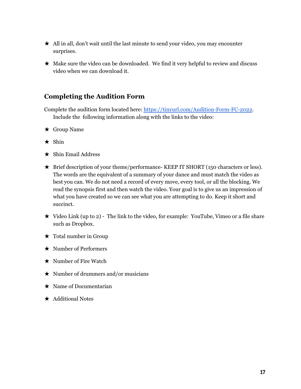- $\star$  All in all, don't wait until the last minute to send your video, you may encounter surprises.
- $\star$  Make sure the video can be downloaded. We find it very helpful to review and discuss video when we can download it.

### **Completing the Audition Form**

Complete the audition form located here: <https://tinyurl.com/Audition-Form-FC-2022>. Include the following information along with the links to the video:

- ★ Group Name
- $\star$  Shin
- $\star$  Shin Email Address
- ★ Brief description of your theme/performance- KEEP IT SHORT (150 characters or less). The words are the equivalent of a summary of your dance and must match the video as best you can. We do not need a record of every move, every tool, or all the blocking. We read the synopsis first and then watch the video. Your goal is to give us an impression of what you have created so we can see what you are attempting to do. Keep it short and succinct.
- $\star$  Video Link (up to 2) The link to the video, for example: YouTube, Vimeo or a file share such as Dropbox.
- $\star$  Total number in Group
- ★ Number of Performers
- $\star$  Number of Fire Watch
- $\star$  Number of drummers and/or musicians
- ★ Name of Documentarian
- ★ Additional Notes